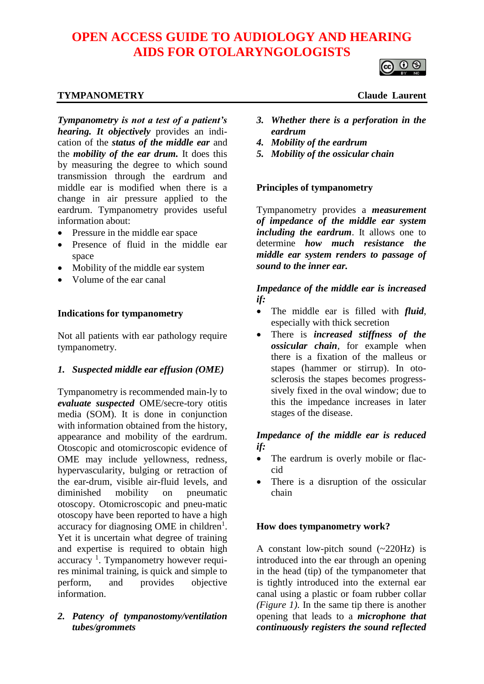# **OPEN ACCESS GUIDE TO AUDIOLOGY AND HEARING AIDS FOR OTOLARYNGOLOGISTS**

## **TYMPANOMETRY** Claude Laurent

*Tympanometry is not a test of a patient's hearing. It objectively* provides an indication of the *status of the middle ear* and the *mobility of the ear drum.* It does this by measuring the degree to which sound transmission through the eardrum and middle ear is modified when there is a change in air pressure applied to the eardrum. Tympanometry provides useful information about:

- Pressure in the middle ear space
- Presence of fluid in the middle ear space
- Mobility of the middle ear system
- Volume of the ear canal

#### **Indications for tympanometry**

Not all patients with ear pathology require tympanometry.

#### *1. Suspected middle ear effusion (OME)*

Tympanometry is recommended main-ly to *evaluate suspected* OME/secre-tory otitis media (SOM). It is done in conjunction with information obtained from the history, appearance and mobility of the eardrum. Otoscopic and otomicroscopic evidence of OME may include yellowness, redness, hypervascularity, bulging or retraction of the ear-drum, visible air-fluid levels, and diminished mobility on pneumatic otoscopy. Otomicroscopic and pneu-matic otoscopy have been reported to have a high accuracy for diagnosing OME in children<sup>1</sup>. Yet it is uncertain what degree of training and expertise is required to obtain high accuracy<sup>1</sup>. Tympanometry however requires minimal training, is quick and simple to perform, and provides objective information.

#### *2. Patency of tympanostomy/ventilation tubes/grommets*

- *3. Whether there is a perforation in the eardrum*
- *4. Mobility of the eardrum*
- *5. Mobility of the ossicular chain*

#### **Principles of tympanometry**

Tympanometry provides a *measurement of impedance of the middle ear system including the eardrum*. It allows one to determine *how much resistance the middle ear system renders to passage of sound to the inner ear.*

*Impedance of the middle ear is increased if:*

- The middle ear is filled with *fluid*, especially with thick secretion
- There is *increased stiffness of the ossicular chain*, for example when there is a fixation of the malleus or stapes (hammer or stirrup). In otosclerosis the stapes becomes progresssively fixed in the oval window; due to this the impedance increases in later stages of the disease.

# *Impedance of the middle ear is reduced if:*

- The eardrum is overly mobile or flaccid
- There is a disruption of the ossicular chain

#### **How does tympanometry work?**

A constant low-pitch sound  $(-220Hz)$  is introduced into the ear through an opening in the head (tip) of the tympanometer that is tightly introduced into the external ear canal using a plastic or foam rubber collar *(Figure 1)*. In the same tip there is another opening that leads to a *microphone that continuously registers the sound reflected*

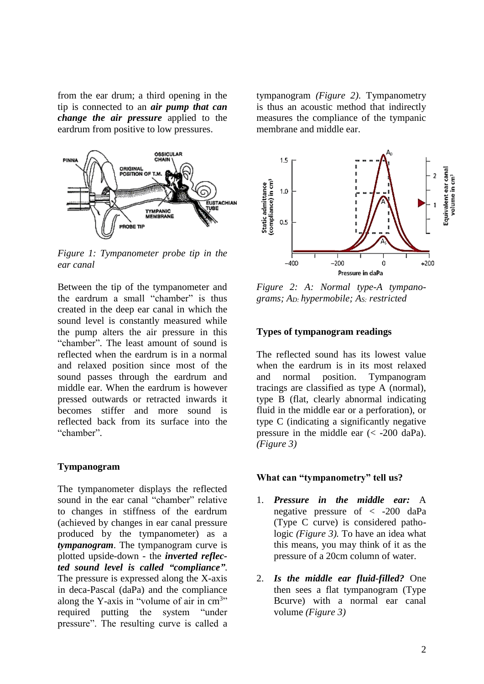from the ear drum; a third opening in the tip is connected to an *air pump that can change the air pressure* applied to the eardrum from positive to low pressures.



*Figure 1: Tympanometer probe tip in the ear canal*

Between the tip of the tympanometer and the eardrum a small "chamber" is thus created in the deep ear canal in which the sound level is constantly measured while the pump alters the air pressure in this "chamber". The least amount of sound is reflected when the eardrum is in a normal and relaxed position since most of the sound passes through the eardrum and middle ear. When the eardrum is however pressed outwards or retracted inwards it becomes stiffer and more sound is reflected back from its surface into the "chamber".

#### **Tympanogram**

The tympanometer displays the reflected sound in the ear canal "chamber" relative to changes in stiffness of the eardrum (achieved by changes in ear canal pressure produced by the tympanometer) as a *tympanogram*. The tympanogram curve is plotted upside-down - the *inverted reflected sound level is called "compliance"*. The pressure is expressed along the X-axis in deca-Pascal (daPa) and the compliance along the Y-axis in "volume of air in  $cm<sup>3</sup>$ " required putting the system "under pressure". The resulting curve is called a tympanogram *(Figure 2)*. Tympanometry is thus an acoustic method that indirectly measures the compliance of the tympanic membrane and middle ear.



*Figure 2: A: Normal type-A tympanograms; AD: hypermobile; AS: restricted*

#### **Types of tympanogram readings**

The reflected sound has its lowest value when the eardrum is in its most relaxed and normal position. Tympanogram tracings are classified as type A (normal), type B (flat, clearly abnormal indicating fluid in the middle ear or a perforation), or type C (indicating a significantly negative pressure in the middle ear  $\ll$  -200 daPa). *(Figure 3)*

#### **What can "tympanometry" tell us?**

- 1. *Pressure in the middle ear:* A negative pressure of < -200 daPa (Type C curve) is considered pathologic *(Figure 3).* To have an idea what this means, you may think of it as the pressure of a 20cm column of water.
- 2. *Is the middle ear fluid-filled?* One then sees a flat tympanogram (Type Bcurve) with a normal ear canal volume *(Figure 3)*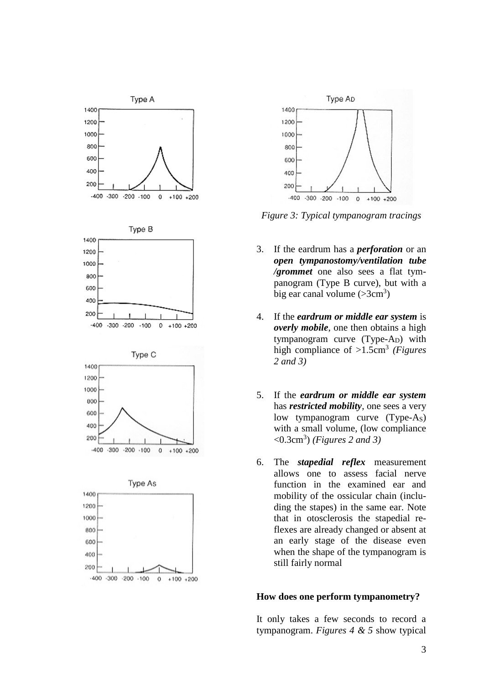



*Figure 3: Typical tympanogram tracings*

- 3. If the eardrum has a *perforation* or an *open tympanostomy/ventilation tube /grommet* one also sees a flat tympanogram (Type B curve), but with a big ear canal volume  $( >3 cm<sup>3</sup>)$
- 4. If the *eardrum or middle ear system* is *overly mobile*, one then obtains a high tympanogram curve (Type-A<sub>D</sub>) with high compliance of >1.5cm<sup>3</sup> *(Figures 2 and 3)*
- 5. If the *eardrum or middle ear system* has *restricted mobility*, one sees a very low tympanogram curve (Type-A<sub>S</sub>) with a small volume, (low compliance <0.3cm<sup>3</sup> ) *(Figures 2 and 3)*
- 6. The *stapedial reflex* measurement allows one to assess facial nerve function in the examined ear and mobility of the ossicular chain (including the stapes) in the same ear. Note that in otosclerosis the stapedial reflexes are already changed or absent at an early stage of the disease even when the shape of the tympanogram is still fairly normal

#### **How does one perform tympanometry?**

It only takes a few seconds to record a tympanogram. *Figures 4 & 5* show typical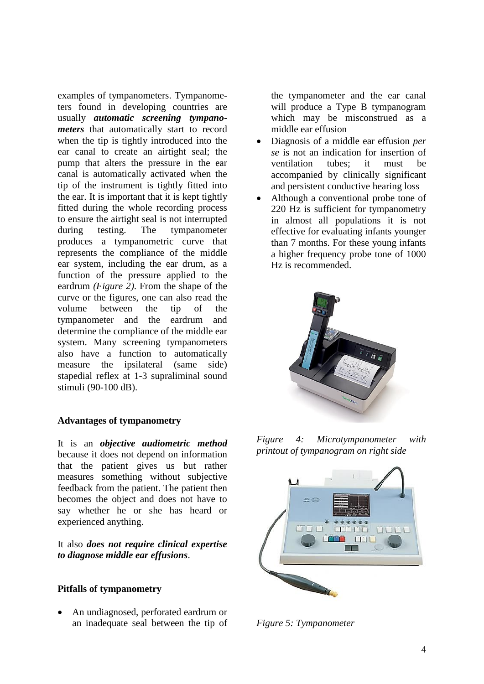examples of tympanometers. Tympanometers found in developing countries are usually *automatic screening tympanometers* that automatically start to record when the tip is tightly introduced into the ear canal to create an airtight seal; the pump that alters the pressure in the ear canal is automatically activated when the tip of the instrument is tightly fitted into the ear. It is important that it is kept tightly fitted during the whole recording process to ensure the airtight seal is not interrupted during testing. The tympanometer produces a tympanometric curve that represents the compliance of the middle ear system, including the ear drum, as a function of the pressure applied to the eardrum *(Figure 2)*. From the shape of the curve or the figures, one can also read the volume between the tip of the tympanometer and the eardrum and determine the compliance of the middle ear system. Many screening tympanometers also have a function to automatically measure the ipsilateral (same side) stapedial reflex at 1-3 supraliminal sound stimuli (90-100 dB).

#### **Advantages of tympanometry**

It is an *objective audiometric method* because it does not depend on information that the patient gives us but rather measures something without subjective feedback from the patient. The patient then becomes the object and does not have to say whether he or she has heard or experienced anything.

It also *does not require clinical expertise to diagnose middle ear effusions*.

#### **Pitfalls of tympanometry**

• An undiagnosed, perforated eardrum or an inadequate seal between the tip of the tympanometer and the ear canal will produce a Type B tympanogram which may be misconstrued as a middle ear effusion

- Diagnosis of a middle ear effusion *per se* is not an indication for insertion of ventilation tubes; it must be accompanied by clinically significant and persistent conductive hearing loss
- Although a conventional probe tone of 220 Hz is sufficient for tympanometry in almost all populations it is not effective for evaluating infants younger than 7 months. For these young infants a higher frequency probe tone of 1000 Hz is recommended.



*Figure 4: Microtympanometer with printout of tympanogram on right side*



*Figure 5: Tympanometer*